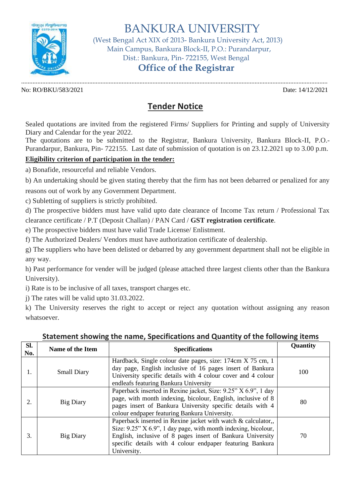

BANKURA UNIVERSITY

 (West Bengal Act XIX of 2013- Bankura University Act, 2013) Main Campus, Bankura Block-II, P.O.: Purandarpur, Dist.: Bankura, Pin- 722155, West Bengal

## **Office of the Registrar**

............................................................................................................................................................................................. No: RO/BKU/583/2021 Date: 14/12/2021

## **Tender Notice**

Sealed quotations are invited from the registered Firms/ Suppliers for Printing and supply of University Diary and Calendar for the year 2022.

The quotations are to be submitted to the Registrar, Bankura University, Bankura Block-II, P.O.- Purandarpur, Bankura, Pin- 722155. Last date of submission of quotation is on 23.12.2021 up to 3.00 p.m.

## **Eligibility criterion of participation in the tender:**

a) Bonafide, resourceful and reliable Vendors.

b) An undertaking should be given stating thereby that the firm has not been debarred or penalized for any

reasons out of work by any Government Department.

c) Subletting of suppliers is strictly prohibited.

d) The prospective bidders must have valid upto date clearance of Income Tax return / Professional Tax clearance certificate / P.T (Deposit Challan) / PAN Card / **GST registration certificate**.

e) The prospective bidders must have valid Trade License/ Enlistment.

f) The Authorized Dealers/ Vendors must have authorization certificate of dealership.

g) The suppliers who have been delisted or debarred by any government department shall not be eligible in any way.

h) Past performance for vender will be judged (please attached three largest clients other than the Bankura University).

i) Rate is to be inclusive of all taxes, transport charges etc.

j) The rates will be valid upto 31.03.2022.

k) The University reserves the right to accept or reject any quotation without assigning any reason whatsoever.

| SI.<br>No. | <b>Name of the Item</b> | <b>Specifications</b>                                                                                                                                                                                                                                                     | Quantity |
|------------|-------------------------|---------------------------------------------------------------------------------------------------------------------------------------------------------------------------------------------------------------------------------------------------------------------------|----------|
|            | <b>Small Diary</b>      | Hardback, Single colour date pages, size: 174cm X 75 cm, 1<br>day page, English inclusive of 16 pages insert of Bankura<br>University specific details with 4 colour cover and 4 colour<br>endleafs featuring Bankura University                                          | 100      |
| 2.         | <b>Big Diary</b>        | Paperback inserted in Rexine jacket, Size: 9.25" X 6.9", 1 day<br>page, with month indexing, bicolour, English, inclusive of 8<br>pages insert of Bankura University specific details with 4<br>colour endpaper featuring Bankura University.                             | 80       |
| 3.         | <b>Big Diary</b>        | Paperback inserted in Rexine jacket with watch & calculator,,<br>Size: 9.25" X 6.9", 1 day page, with month indexing, bicolour,<br>English, inclusive of 8 pages insert of Bankura University<br>specific details with 4 colour endpaper featuring Bankura<br>University. | 70       |

## **Statement showing the name, Specifications and Quantity of the following items**